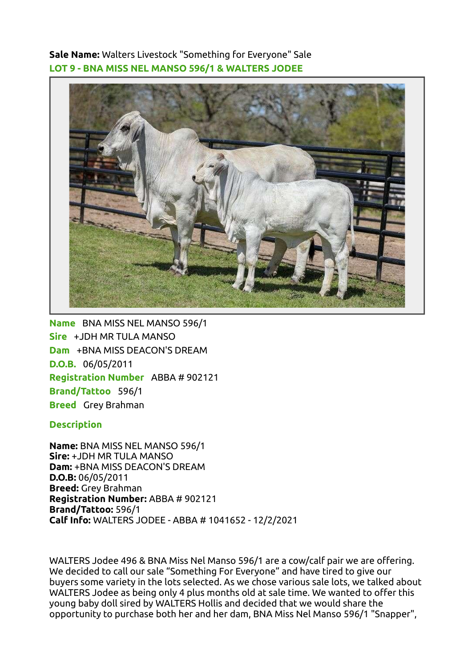Sale Name: Walters Livestock "Something for Everyone" Sale LOT 9 - BNA MISS NEL MANSO 596/1 & WALTERS JODEE



Name BNA MISS NEL MANSO 596/1 Sire +JDH MR TULA MANSO Dam +BNA MISS DEACON'S DREAM D.O.B. 06/05/2011 Registration Number ABBA # 902121 Brand/Tattoo 596/1 Breed Grey Brahman

## **Description**

Name: BNA MISS NEL MANSO 596/1 Sire: +JDH MR TULA MANSO Dam: +BNA MISS DEACON'S DREAM D.O.B: 06/05/2011 Breed: Grey Brahman Registration Number: ABBA # 902121 Brand/Tattoo: 596/1 Calf Info: WALTERS JODEE - ABBA # 1041652 - 12/2/2021

WALTERS Jodee 496 & BNA Miss Nel Manso 596/1 are a cow/calf pair we are offering. We decided to call our sale "Something For Everyone" and have tired to give our buyers some variety in the lots selected. As we chose various sale lots, we talked about WALTERS Jodee as being only 4 plus months old at sale time. We wanted to offer this young baby doll sired by WALTERS Hollis and decided that we would share the opportunity to purchase both her and her dam, BNA Miss Nel Manso 596/1 "Snapper",